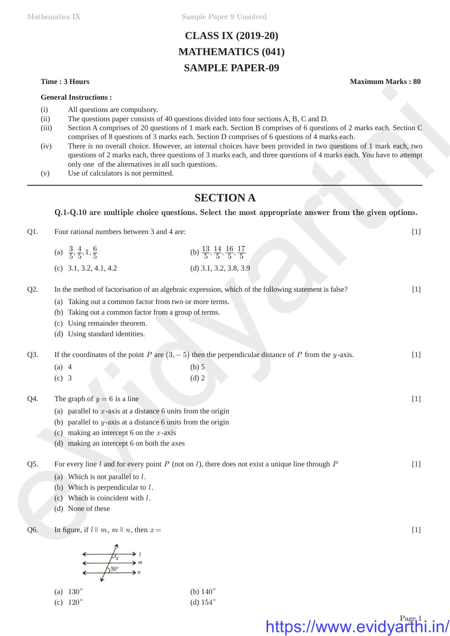Mathematics IX Sample Paper 9 Unsolved

## **CLASS IX (2019-20) MATHEMATICS (041) SAMPLE PAPER-09**

**General Instructions :**

- (i) All questions are compulsory.
- (ii) The questions paper consists of 40 questions divided into four sections A, B, C and D.
- (iii) Section A comprises of 20 questions of 1 mark each. Section B comprises of 6 questions of 2 marks each. Section C comprises of 8 questions of 3 marks each. Section D comprises of 6 questions of 4 marks each.
- (iv) There is no overall choice. However, an internal choices have been provided in two questions of 1 mark each, two questions of 2 marks each, three questions of 3 marks each, and three questions of 4 marks each. You have to attempt only one of the alternatives in all such questions. **General fracterisines :**<br>
(i) All generals computed on the quantitation of the method is the respective of a particles of  $\alpha$ ,  $\alpha$  (ii) All generals computed of  $\alpha$  (iii)  $\alpha$  (iii)  $\alpha$  (iii)  $\alpha$  (iii)  $\alpha$  (iii)  $\$ 
	- (v) Use of calculators is not permitted.

## **SECTION A**

### **Q.1-Q.10 are multiple choice questions. Select the most appropriate answer from the given options.**

Q1. Four rational numbers between 3 and 4 are: [1]

| (a) $\frac{3}{5}, \frac{4}{5}, 1, \frac{6}{5}$ | (b) $\frac{13}{5}, \frac{14}{5}, \frac{16}{5}, \frac{17}{5}$ |
|------------------------------------------------|--------------------------------------------------------------|
| (c) $3.1, 3.2, 4.1, 4.2$                       | (d) 3.1, 3.2, 3.8, 3.9                                       |

Q2. In the method of factorisation of an algebraic expression, which of the following statement is false? [1]

- (a) Taking out a common factor from two or more terms.
- (b) Taking out a common factor from a group of terms.
- (c) Using remainder theorem.
- (d) Using standard identities.

Q3. If the coordinates of the point *P* are  $(3, -5)$  then the perpendicular distance of *P* from the *y* -axis. [1]

| (a) $4$ | $(b)$ 5 |
|---------|---------|
| $(c)$ 3 | $(d)$ 2 |

Q4. The graph of  $y = 6$  is a line [1]

- (a) parallel to  $x$ -axis at a distance 6 units from the origin
- (b) parallel to *y* -axis at a distance 6 units from the origin
- (c) making an intercept 6 on the *x* -axis
- (d) making an intercept 6 on both the axes

Q5. For every line *l* and for every point *P* (not on *l* ), there does not exist a unique line through *P* [1]

- (a) Which is not parallel to *l* .
- (b) Which is perpendicular to *l* .
- (c) Which is coincident with *l* .
- (d) None of these

Q6. In figure, if  $l \parallel m, m \parallel n$ , then  $x =$  [1]

| (a) $130^{\circ}$ | (b) $140^\circ$ |
|-------------------|-----------------|
| (c) $120^{\circ}$ | (d) $154^\circ$ |

### **Time : 3 Hours Maximum Marks : 80**

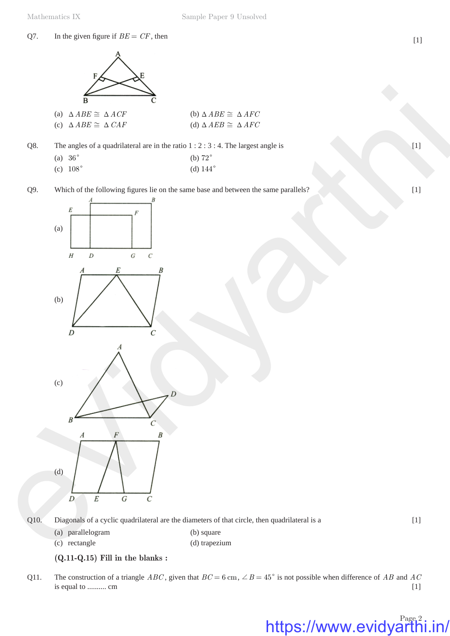## Q7. In the given figure if  $BE = CF$ , then [1]



| (a) $\triangle ABE \cong \triangle ACF$ | (b) $\triangle ABE \cong \triangle AFC$ |
|-----------------------------------------|-----------------------------------------|
| (c) $\triangle ABE \cong \triangle CAF$ | (d) $\Delta AEB \cong \Delta AFC$       |

- Q8. The angles of a quadrilateral are in the ratio 1 : 2 : 3 : 4. The largest angle is [1]
	- (a)  $36^{\circ}$  (b)  $72^{\circ}$
	- (c)  $108^{\circ}$  (d)  $144^{\circ}$
- Q9. Which of the following figures lie on the same base and between the same parallels? [1]



Q10. Diagonals of a cyclic quadrilateral are the diameters of that circle, then quadrilateral is a [1]

**(Q.11-Q.15) Fill in the blanks :**

(a) parallelogram (b) square (c) rectangle (d) trapezium

Q11. The construction of a triangle *ABC*, given that  $BC = 6$  cm,  $\angle B = 45^{\circ}$  is not possible when difference of *AB* and *AC* is equal to .......... cm [1]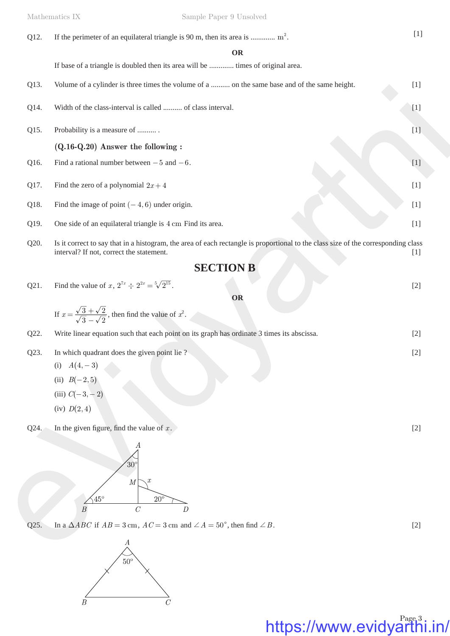| Q12. | If the perimeter of an equilateral triangle is 90 m, then its area is $m^2$ .                                                                                                 | $[1]$ |
|------|-------------------------------------------------------------------------------------------------------------------------------------------------------------------------------|-------|
|      | <b>OR</b>                                                                                                                                                                     |       |
|      | If base of a triangle is doubled then its area will be  times of original area.                                                                                               |       |
| Q13. | Volume of a cylinder is three times the volume of a  on the same base and of the same height.                                                                                 | $[1]$ |
| Q14. | Width of the class-interval is called  of class interval.                                                                                                                     | $[1]$ |
| Q15. | Probability is a measure of                                                                                                                                                   | $[1]$ |
|      | $(Q.16-Q.20)$ Answer the following :                                                                                                                                          |       |
| Q16. | Find a rational number between $-5$ and $-6$ .                                                                                                                                | $[1]$ |
| Q17. | Find the zero of a polynomial $2x + 4$                                                                                                                                        | $[1]$ |
| Q18. | Find the image of point $(-4, 6)$ under origin.                                                                                                                               | $[1]$ |
| Q19. | One side of an equilateral triangle is 4 cm Find its area.                                                                                                                    | $[1]$ |
| Q20. | Is it correct to say that in a histogram, the area of each rectangle is proportional to the class size of the corresponding class<br>interval? If not, correct the statement. | $[1]$ |
|      | <b>SECTION B</b>                                                                                                                                                              |       |
| Q21. | Find the value of x, $2^{7x} \div 2^{2x} = \sqrt[5]{2^{15}}$ .                                                                                                                | $[2]$ |
|      | OR                                                                                                                                                                            |       |
|      | If $x = \frac{\sqrt{3} + \sqrt{2}}{\sqrt{3} - \sqrt{2}}$ , then find the value of $x^2$ .                                                                                     |       |
| Q22. | Write linear equation such that each point on its graph has ordinate 3 times its abscissa.                                                                                    | $[2]$ |
| Q23. | In which quadrant does the given point lie?                                                                                                                                   | $[2]$ |
|      | (i) $A(4,-3)$                                                                                                                                                                 |       |
|      | (ii) $B(-2,5)$                                                                                                                                                                |       |
|      | (iii) $C(-3,-2)$                                                                                                                                                              |       |
|      | (iv) $D(2, 4)$                                                                                                                                                                |       |
| Q24. | In the given figure, find the value of $x$ .                                                                                                                                  | $[2]$ |
|      | А<br>$30^{\circ}$                                                                                                                                                             |       |
|      | $\boldsymbol{M}$<br>$\frac{45^{\circ}}{25^{\circ}}$<br>$20^{\circ}$<br>$\overline{B}$<br>$\mathcal C$<br>$\boldsymbol{D}$                                                     |       |
| Q25. | In a $\triangle ABC$ if $AB = 3$ cm, $AC = 3$ cm and $\angle A = 50^{\circ}$ , then find $\angle B$ .                                                                         | $[2]$ |
|      |                                                                                                                                                                               |       |
|      | $\mathcal{A}_{\wedge}$                                                                                                                                                        |       |

- Q23. In which quadrant does the given point lie ? [2]
	- (i)  $A(4, -3)$
	- (ii) *B* $(-2, 5)$
	- (iii)  $C(-3, -2)$
	- $(iv) D(2, 4)$



 $Q25.$ In a  $\triangle ABC$  if  $AB = 3$  cm,  $AC = 3$  cm and  $\angle A = 50^{\circ}$ , then find  $\angle B$ . [2]

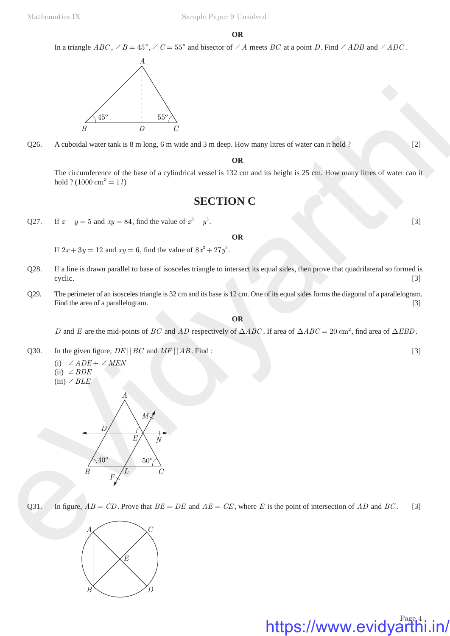**OR**

In a triangle  $ABC$ ,  $\angle B = 45^{\circ}$ ,  $\angle C = 55^{\circ}$  and bisector of  $\angle A$  meets *BC* at a point *D*. Find  $\angle ADB$  and  $\angle ADC$ .



Q26. A cuboidal water tank is 8 m long, 6 m wide and 3 m deep. How many litres of water can it hold ? [2]

#### **OR**

The circumference of the base of a cylindrical vessel is 132 cm and its height is 25 cm. How many litres of water can it hold ?  $(1000 \text{ cm}^3 = 1 l)$ 

## **SECTION C**

Q27. If  $x - y = 5$  and  $xy = 84$ , find the value of  $x^3 - y^3$ . [3]

#### **OR**

If  $2x + 3y = 12$  and  $xy = 6$ , find the value of  $8x^3 + 27y^3$ .

- Q28. If a line is drawn parallel to base of isosceles triangle to intersect its equal sides, then prove that quadrilateral so formed is cyclic. [3] **cyclic**. [3]
- Q29. The perimeter of an isosceles triangle is 32 cm and its base is 12 cm. One of its equal sides forms the diagonal of a parallelogram. Find the area of a parallelogram. [3]

### **OR**

*D* and *E* are the mid-points of *BC* and *AD* respectively of  $\triangle ABC$ . If area of  $\triangle ABC = 20 \text{ cm}^2$ , find area of  $\triangle EBD$ .

Q30. In the given figure,  $DE \mid |BC \text{ and } MF \mid |AB \text{. Find :}$  [3]

(i)  $\angle ADE + \angle MEN$  $(ii) \angle BDE$  $(iii) \angle BLE$ 



Q31. In figure,  $AB = CD$ . Prove that  $BE = DE$  and  $AE = CE$ , where *E* is the point of intersection of *AD* and *BC*. [3]